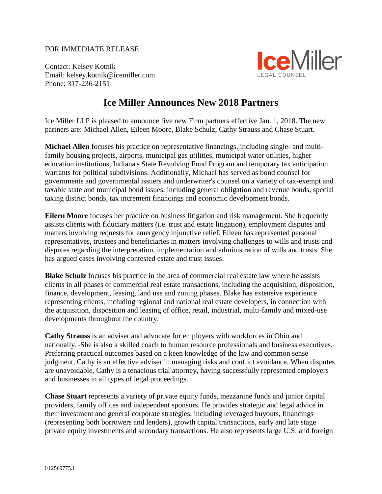## FOR IMMEDIATE RELEASE

Contact: Kelsey Kotnik Email: kelsey.kotnik@icemiller.com Phone: 317-236-2151



## **Ice Miller Announces New 2018 Partners**

Ice Miller LLP is pleased to announce five new Firm partners effective Jan. 1, 2018. The new partners are: Michael Allen, Eileen Moore, Blake Schulz, Cathy Strauss and Chase Stuart.

**Michael Allen** focuses his practice on representative financings, including single- and multifamily housing projects, airports, municipal gas utilities, municipal water utilities, higher education institutions, Indiana's State Revolving Fund Program and temporary tax anticipation warrants for political subdivisions. Additionally, Michael has served as bond counsel for governments and governmental issuers and underwriter's counsel on a variety of tax-exempt and taxable state and municipal bond issues, including general obligation and revenue bonds, special taxing district bonds, tax increment financings and economic development bonds.

**Eileen Moore** focuses her practice on business litigation and risk management. She frequently assists clients with fiduciary matters (i.e. trust and estate litigation), employment disputes and matters involving requests for emergency injunctive relief. Eileen has represented personal representatives, trustees and beneficiaries in matters involving challenges to wills and trusts and disputes regarding the interpretation, implementation and administration of wills and trusts. She has argued cases involving contested estate and trust issues.

**Blake Schulz** focuses his practice in the area of commercial real estate law where he assists clients in all phases of commercial real estate transactions, including the acquisition, disposition, finance, development, leasing, land use and zoning phases. Blake has extensive experience representing clients, including regional and national real estate developers, in connection with the acquisition, disposition and leasing of office, retail, industrial, multi-family and mixed-use developments throughout the country.

**Cathy Strauss** is an adviser and advocate for employers with workforces in Ohio and nationally. She is also a skilled coach to human resource professionals and business executives. Preferring practical outcomes based on a keen knowledge of the law and common sense judgment, Cathy is an effective adviser in managing risks and conflict avoidance. When disputes are unavoidable, Cathy is a tenacious trial attorney, having successfully represented employers and businesses in all types of legal proceedings.

**Chase Stuart** represents a variety of private equity funds, mezzanine funds and junior capital providers, family offices and independent sponsors. He provides strategic and legal advice in their investment and general corporate strategies, including leveraged buyouts, financings (representing both borrowers and lenders), growth capital transactions, early and late stage private equity investments and secondary transactions. He also represents large U.S. and foreign